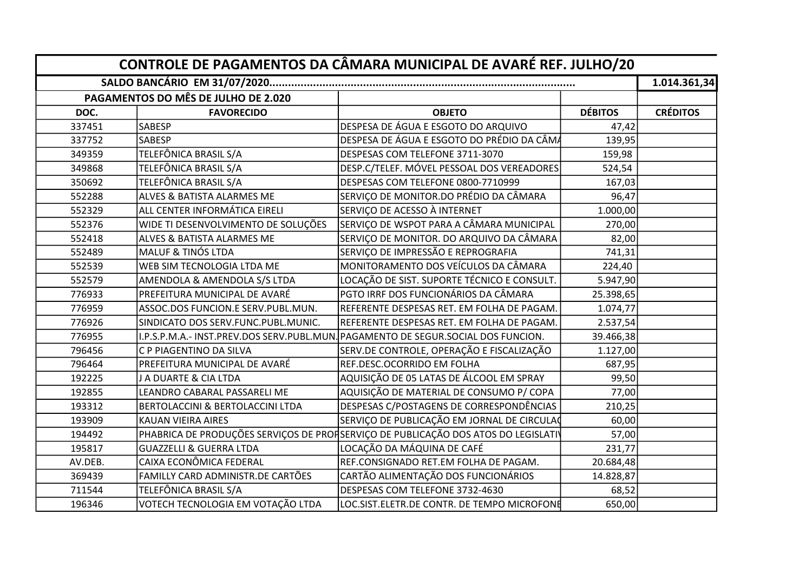|         |                                           | CONTROLE DE PAGAMENTOS DA CÂMARA MUNICIPAL DE AVARÉ REF. JULHO/20                  |                | 1.014.361,34    |
|---------|-------------------------------------------|------------------------------------------------------------------------------------|----------------|-----------------|
|         | PAGAMENTOS DO MÊS DE JULHO DE 2.020       |                                                                                    |                |                 |
| DOC.    | <b>FAVORECIDO</b>                         | <b>OBJETO</b>                                                                      | <b>DÉBITOS</b> | <b>CRÉDITOS</b> |
| 337451  | SABESP                                    | DESPESA DE ÁGUA E ESGOTO DO ARQUIVO                                                | 47,42          |                 |
| 337752  | <b>SABESP</b>                             | DESPESA DE ÁGUA E ESGOTO DO PRÉDIO DA CÂMA                                         | 139,95         |                 |
| 349359  | TELEFÔNICA BRASIL S/A                     | DESPESAS COM TELEFONE 3711-3070                                                    | 159,98         |                 |
| 349868  | TELEFÔNICA BRASIL S/A                     | DESP.C/TELEF. MÓVEL PESSOAL DOS VEREADORES                                         | 524,54         |                 |
| 350692  | TELEFÔNICA BRASIL S/A                     | DESPESAS COM TELEFONE 0800-7710999                                                 | 167,03         |                 |
| 552288  | ALVES & BATISTA ALARMES ME                | SERVIÇO DE MONITOR.DO PRÉDIO DA CÂMARA                                             | 96,47          |                 |
| 552329  | ALL CENTER INFORMÁTICA EIRELI             | SERVIÇO DE ACESSO À INTERNET                                                       | 1.000,00       |                 |
| 552376  | WIDE TI DESENVOLVIMENTO DE SOLUÇÕES       | SERVIÇO DE WSPOT PARA A CÂMARA MUNICIPAL                                           | 270,00         |                 |
| 552418  | ALVES & BATISTA ALARMES ME                | SERVIÇO DE MONITOR. DO ARQUIVO DA CÂMARA                                           | 82,00          |                 |
| 552489  | <b>MALUF &amp; TINÓS LTDA</b>             | SERVIÇO DE IMPRESSÃO E REPROGRAFIA                                                 | 741,31         |                 |
| 552539  | WEB SIM TECNOLOGIA LTDA ME                | MONITORAMENTO DOS VEÍCULOS DA CÂMARA                                               | 224,40         |                 |
| 552579  | AMENDOLA & AMENDOLA S/S LTDA              | LOCAÇÃO DE SIST. SUPORTE TÉCNICO E CONSULT.                                        | 5.947,90       |                 |
| 776933  | PREFEITURA MUNICIPAL DE AVARÉ             | PGTO IRRF DOS FUNCIONÁRIOS DA CÂMARA                                               | 25.398,65      |                 |
| 776959  | ASSOC.DOS FUNCION.E SERV.PUBL.MUN.        | REFERENTE DESPESAS RET. EM FOLHA DE PAGAM.                                         | 1.074,77       |                 |
| 776926  | SINDICATO DOS SERV.FUNC.PUBL.MUNIC.       | REFERENTE DESPESAS RET. EM FOLHA DE PAGAM.                                         | 2.537,54       |                 |
| 776955  | I.P.S.P.M.A.- INST.PREV.DOS SERV.PUBL.MUN | PAGAMENTO DE SEGUR.SOCIAL DOS FUNCION.                                             | 39.466,38      |                 |
| 796456  | C P PIAGENTINO DA SILVA                   | SERV.DE CONTROLE, OPERAÇÃO E FISCALIZAÇÃO                                          | 1.127,00       |                 |
| 796464  | PREFEITURA MUNICIPAL DE AVARÉ             | REF.DESC.OCORRIDO EM FOLHA                                                         | 687,95         |                 |
| 192225  | J A DUARTE & CIA LTDA                     | AQUISIÇÃO DE 05 LATAS DE ÁLCOOL EM SPRAY                                           | 99,50          |                 |
| 192855  | LEANDRO CABARAL PASSARELI ME              | AQUISIÇÃO DE MATERIAL DE CONSUMO P/ COPA                                           | 77,00          |                 |
| 193312  | BERTOLACCINI & BERTOLACCINI LTDA          | DESPESAS C/POSTAGENS DE CORRESPONDÊNCIAS                                           | 210,25         |                 |
| 193909  | <b>KAUAN VIEIRA AIRES</b>                 | SERVIÇO DE PUBLICAÇÃO EM JORNAL DE CIRCULAÇ                                        | 60,00          |                 |
| 194492  |                                           | PHABRICA DE PRODUÇÕES SERVIÇOS DE PROFSERVIÇO DE PUBLICAÇÃO DOS ATOS DO LEGISLATIV | 57,00          |                 |
| 195817  | <b>GUAZZELLI &amp; GUERRA LTDA</b>        | LOCAÇÃO DA MÁQUINA DE CAFÉ                                                         | 231,77         |                 |
| AV.DEB. | CAIXA ECONÔMICA FEDERAL                   | REF.CONSIGNADO RET.EM FOLHA DE PAGAM.                                              | 20.684,48      |                 |
| 369439  | FAMILLY CARD ADMINISTR.DE CARTÕES         | CARTÃO ALIMENTAÇÃO DOS FUNCIONÁRIOS                                                | 14.828,87      |                 |
| 711544  | TELEFÔNICA BRASIL S/A                     | DESPESAS COM TELEFONE 3732-4630                                                    | 68,52          |                 |
| 196346  | VOTECH TECNOLOGIA EM VOTAÇÃO LTDA         | LOC.SIST.ELETR.DE CONTR. DE TEMPO MICROFONE                                        | 650,00         |                 |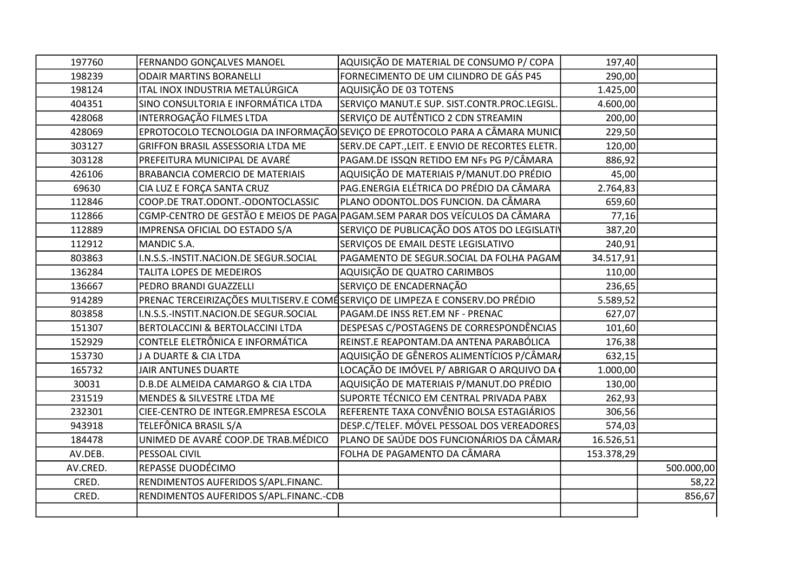| 197760   | FERNANDO GONÇALVES MANOEL                                                    | AQUISIÇÃO DE MATERIAL DE CONSUMO P/ COPA                                      | 197,40     |            |
|----------|------------------------------------------------------------------------------|-------------------------------------------------------------------------------|------------|------------|
| 198239   | <b>ODAIR MARTINS BORANELLI</b>                                               | FORNECIMENTO DE UM CILINDRO DE GÁS P45                                        | 290,00     |            |
| 198124   | ITAL INOX INDUSTRIA METALÚRGICA                                              | AQUISIÇÃO DE 03 TOTENS                                                        | 1.425,00   |            |
| 404351   | SINO CONSULTORIA E INFORMÁTICA LTDA                                          | SERVIÇO MANUT.E SUP. SIST.CONTR.PROC.LEGISL.                                  | 4.600,00   |            |
| 428068   | INTERROGAÇÃO FILMES LTDA                                                     | SERVIÇO DE AUTÊNTICO 2 CDN STREAMIN                                           | 200,00     |            |
| 428069   |                                                                              | EPROTOCOLO TECNOLOGIA DA INFORMAÇÃO SEVIÇO DE EPROTOCOLO PARA A CÂMARA MUNICI | 229,50     |            |
| 303127   | <b>GRIFFON BRASIL ASSESSORIA LTDA ME</b>                                     | SERV.DE CAPT., LEIT. E ENVIO DE RECORTES ELETR.                               | 120,00     |            |
| 303128   | PREFEITURA MUNICIPAL DE AVARÉ                                                | PAGAM.DE ISSQN RETIDO EM NFs PG P/CÂMARA                                      | 886,92     |            |
| 426106   | BRABANCIA COMERCIO DE MATERIAIS                                              | AQUISIÇÃO DE MATERIAIS P/MANUT.DO PRÉDIO                                      | 45,00      |            |
| 69630    | CIA LUZ E FORÇA SANTA CRUZ                                                   | PAG.ENERGIA ELÉTRICA DO PRÉDIO DA CÂMARA                                      | 2.764,83   |            |
| 112846   | COOP.DE TRAT.ODONT.-ODONTOCLASSIC                                            | PLANO ODONTOL.DOS FUNCION. DA CÂMARA                                          | 659,60     |            |
| 112866   |                                                                              | CGMP-CENTRO DE GESTÃO E MEIOS DE PAGA PAGAM. SEM PARAR DOS VEÍCULOS DA CÂMARA | 77,16      |            |
| 112889   | IMPRENSA OFICIAL DO ESTADO S/A                                               | SERVIÇO DE PUBLICAÇÃO DOS ATOS DO LEGISLATIV                                  | 387,20     |            |
| 112912   | MANDIC S.A.                                                                  | SERVIÇOS DE EMAIL DESTE LEGISLATIVO                                           | 240,91     |            |
| 803863   | I.N.S.S.-INSTIT.NACION.DE SEGUR.SOCIAL                                       | PAGAMENTO DE SEGUR.SOCIAL DA FOLHA PAGAM                                      | 34.517,91  |            |
| 136284   | TALITA LOPES DE MEDEIROS                                                     | AQUISIÇÃO DE QUATRO CARIMBOS                                                  | 110,00     |            |
| 136667   | PEDRO BRANDI GUAZZELLI                                                       | SERVIÇO DE ENCADERNAÇÃO                                                       | 236,65     |            |
| 914289   | PRENAC TERCEIRIZAÇÕES MULTISERV.E COMÉSERVIÇO DE LIMPEZA E CONSERV.DO PRÉDIO |                                                                               | 5.589,52   |            |
| 803858   | I.N.S.S.-INSTIT.NACION.DE SEGUR.SOCIAL                                       | PAGAM.DE INSS RET.EM NF - PRENAC                                              | 627,07     |            |
| 151307   | BERTOLACCINI & BERTOLACCINI LTDA                                             | DESPESAS C/POSTAGENS DE CORRESPONDÊNCIAS                                      | 101,60     |            |
| 152929   | CONTELE ELETRÔNICA E INFORMÁTICA                                             | REINST.E REAPONTAM.DA ANTENA PARABÓLICA                                       | 176,38     |            |
| 153730   | J A DUARTE & CIA LTDA                                                        | AQUISIÇÃO DE GÊNEROS ALIMENTÍCIOS P/CÂMARA                                    | 632,15     |            |
| 165732   | JAIR ANTUNES DUARTE                                                          | LOCAÇÃO DE IMÓVEL P/ ABRIGAR O ARQUIVO DA                                     | 1.000,00   |            |
| 30031    | D.B.DE ALMEIDA CAMARGO & CIA LTDA                                            | AQUISIÇÃO DE MATERIAIS P/MANUT.DO PRÉDIO                                      | 130,00     |            |
| 231519   | MENDES & SILVESTRE LTDA ME                                                   | SUPORTE TÉCNICO EM CENTRAL PRIVADA PABX                                       | 262,93     |            |
| 232301   | CIEE-CENTRO DE INTEGR.EMPRESA ESCOLA                                         | REFERENTE TAXA CONVÊNIO BOLSA ESTAGIÁRIOS                                     | 306,56     |            |
| 943918   | TELEFÔNICA BRASIL S/A                                                        | DESP.C/TELEF. MÓVEL PESSOAL DOS VEREADORES                                    | 574,03     |            |
| 184478   | UNIMED DE AVARÉ COOP.DE TRAB.MÉDICO                                          | PLANO DE SAÚDE DOS FUNCIONÁRIOS DA CÂMARA                                     | 16.526,51  |            |
| AV.DEB.  | PESSOAL CIVIL                                                                | FOLHA DE PAGAMENTO DA CÂMARA                                                  | 153.378,29 |            |
| AV.CRED. | REPASSE DUODÉCIMO                                                            |                                                                               |            | 500.000,00 |
| CRED.    | RENDIMENTOS AUFERIDOS S/APL.FINANC.                                          |                                                                               |            | 58,22      |
| CRED.    | RENDIMENTOS AUFERIDOS S/APL.FINANC.-CDB                                      |                                                                               |            | 856,67     |
|          |                                                                              |                                                                               |            |            |